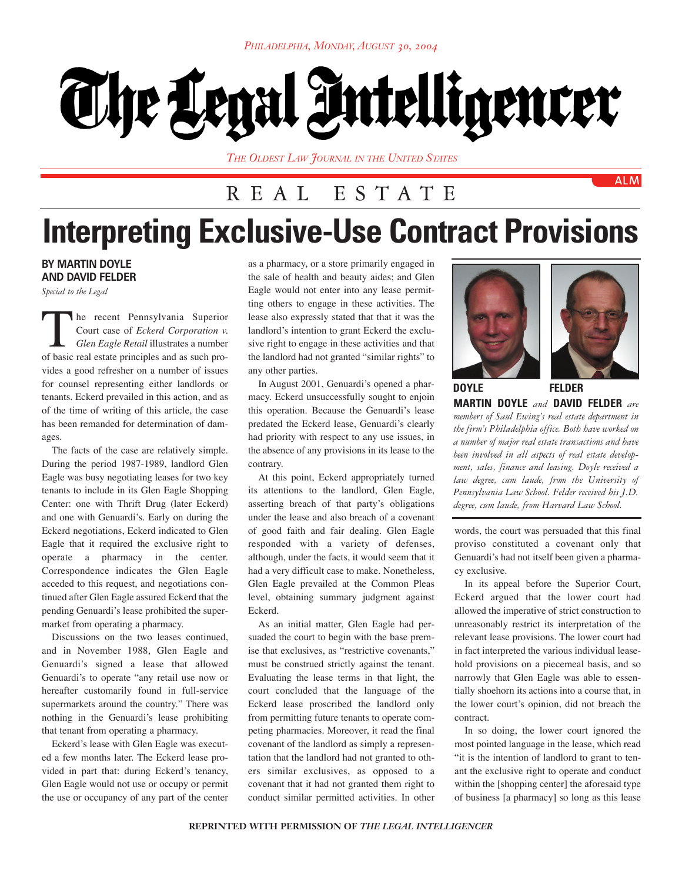# The Legal Intelligencer

*THE OLDEST LAW JOURNAL IN THE UNITED STATES*

## REAL ESTATE

## **Interpreting Exclusive-Use Contract Provisions**

### **BY MARTIN DOYLE AND DAVID FELDER**

*Special to the Legal*

The recent Pennsylvania Superior<br>Court case of *Eckerd Corporation v.*<br>Glen Eagle Retail illustrates a number<br>of basic real estate principles and as such pro-Court case of *Eckerd Corporation v. Glen Eagle Retail* illustrates a number of basic real estate principles and as such provides a good refresher on a number of issues for counsel representing either landlords or tenants. Eckerd prevailed in this action, and as of the time of writing of this article, the case has been remanded for determination of damages.

The facts of the case are relatively simple. During the period 1987-1989, landlord Glen Eagle was busy negotiating leases for two key tenants to include in its Glen Eagle Shopping Center: one with Thrift Drug (later Eckerd) and one with Genuardi's. Early on during the Eckerd negotiations, Eckerd indicated to Glen Eagle that it required the exclusive right to operate a pharmacy in the center. Correspondence indicates the Glen Eagle acceded to this request, and negotiations continued after Glen Eagle assured Eckerd that the pending Genuardi's lease prohibited the supermarket from operating a pharmacy.

Discussions on the two leases continued, and in November 1988, Glen Eagle and Genuardi's signed a lease that allowed Genuardi's to operate "any retail use now or hereafter customarily found in full-service supermarkets around the country." There was nothing in the Genuardi's lease prohibiting that tenant from operating a pharmacy.

Eckerd's lease with Glen Eagle was executed a few months later. The Eckerd lease provided in part that: during Eckerd's tenancy, Glen Eagle would not use or occupy or permit the use or occupancy of any part of the center as a pharmacy, or a store primarily engaged in the sale of health and beauty aides; and Glen Eagle would not enter into any lease permitting others to engage in these activities. The lease also expressly stated that that it was the landlord's intention to grant Eckerd the exclusive right to engage in these activities and that the landlord had not granted "similar rights" to any other parties.

In August 2001, Genuardi's opened a pharmacy. Eckerd unsuccessfully sought to enjoin this operation. Because the Genuardi's lease predated the Eckerd lease, Genuardi's clearly had priority with respect to any use issues, in the absence of any provisions in its lease to the contrary.

At this point, Eckerd appropriately turned its attentions to the landlord, Glen Eagle, asserting breach of that party's obligations under the lease and also breach of a covenant of good faith and fair dealing. Glen Eagle responded with a variety of defenses, although, under the facts, it would seem that it had a very difficult case to make. Nonetheless, Glen Eagle prevailed at the Common Pleas level, obtaining summary judgment against Eckerd.

As an initial matter, Glen Eagle had persuaded the court to begin with the base premise that exclusives, as "restrictive covenants," must be construed strictly against the tenant. Evaluating the lease terms in that light, the court concluded that the language of the Eckerd lease proscribed the landlord only from permitting future tenants to operate competing pharmacies. Moreover, it read the final covenant of the landlord as simply a representation that the landlord had not granted to others similar exclusives, as opposed to a covenant that it had not granted them right to conduct similar permitted activities. In other





**ALM** 

**MARTIN DOYLE** *and* **DAVID FELDER** *are members of Saul Ewing's real estate department in the firm's Philadelphia office. Both have worked on a number of major real estate transactions and have been involved in all aspects of real estate development, sales, finance and leasing. Doyle received a law degree, cum laude, from the University of Pennsylvania Law School. Felder received his J.D. degree, cum laude, from Harvard Law School.* **DOYLE FELDER**

words, the court was persuaded that this final proviso constituted a covenant only that Genuardi's had not itself been given a pharmacy exclusive.

In its appeal before the Superior Court, Eckerd argued that the lower court had allowed the imperative of strict construction to unreasonably restrict its interpretation of the relevant lease provisions. The lower court had in fact interpreted the various individual leasehold provisions on a piecemeal basis, and so narrowly that Glen Eagle was able to essentially shoehorn its actions into a course that, in the lower court's opinion, did not breach the contract.

In so doing, the lower court ignored the most pointed language in the lease, which read "it is the intention of landlord to grant to tenant the exclusive right to operate and conduct within the [shopping center] the aforesaid type of business [a pharmacy] so long as this lease